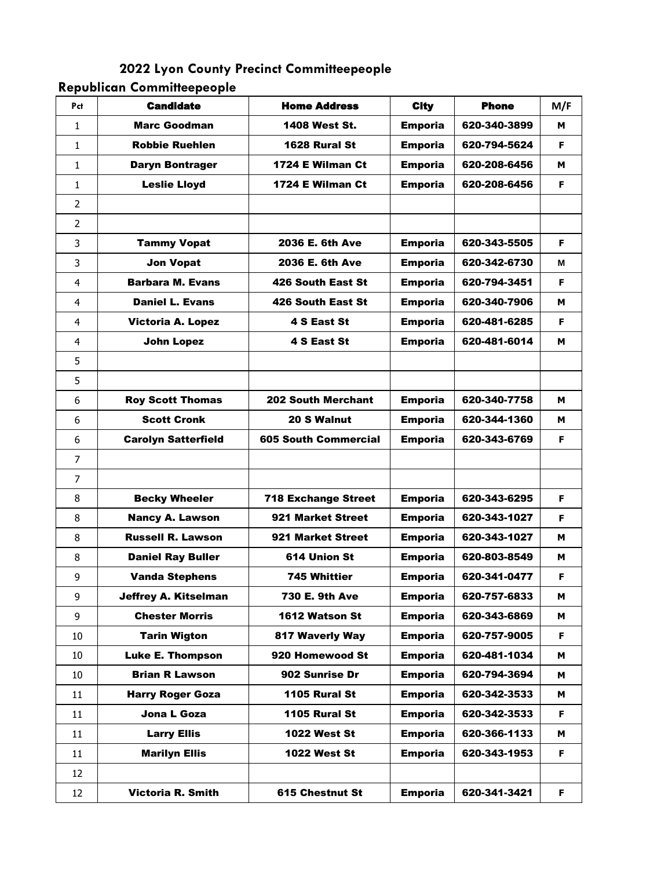**2022 Lyon County Precinct Committeepeople**

**Republican Committeepeople**

| Pct            | <b>Candidate</b>            | <b>Home Address</b>         | <b>City</b>    | <b>Phone</b> | M/F |
|----------------|-----------------------------|-----------------------------|----------------|--------------|-----|
| $\mathbf{1}$   | <b>Marc Goodman</b>         | <b>1408 West St.</b>        | <b>Emporia</b> | 620-340-3899 | м   |
| $\mathbf{1}$   | <b>Robbie Ruehlen</b>       | 1628 Rural St               | <b>Emporia</b> | 620-794-5624 | F   |
| $\mathbf{1}$   | <b>Daryn Bontrager</b>      | 1724 E Wilman Ct            | <b>Emporia</b> | 620-208-6456 | м   |
| 1              | <b>Leslie Lloyd</b>         | 1724 E Wilman Ct            | <b>Emporia</b> | 620-208-6456 | F   |
| $\overline{2}$ |                             |                             |                |              |     |
| $\overline{2}$ |                             |                             |                |              |     |
| 3              | <b>Tammy Vopat</b>          | 2036 E. 6th Ave             | <b>Emporia</b> | 620-343-5505 | F   |
| 3              | <b>Jon Vopat</b>            | 2036 E. 6th Ave             | <b>Emporia</b> | 620-342-6730 | М   |
| $\overline{4}$ | <b>Barbara M. Evans</b>     | 426 South East St           | <b>Emporia</b> | 620-794-3451 | F.  |
| 4              | <b>Daniel L. Evans</b>      | <b>426 South East St</b>    | <b>Emporia</b> | 620-340-7906 | м   |
| $\overline{4}$ | <b>Victoria A. Lopez</b>    | 4 S East St                 | <b>Emporia</b> | 620-481-6285 | F.  |
| $\overline{4}$ | <b>John Lopez</b>           | 4 S East St                 | <b>Emporia</b> | 620-481-6014 | м   |
| 5              |                             |                             |                |              |     |
| 5              |                             |                             |                |              |     |
| 6              | <b>Roy Scott Thomas</b>     | <b>202 South Merchant</b>   | <b>Emporia</b> | 620-340-7758 | м   |
| 6              | <b>Scott Cronk</b>          | 20 S Walnut                 | <b>Emporia</b> | 620-344-1360 | м   |
| 6              | <b>Carolyn Satterfield</b>  | <b>605 South Commercial</b> | <b>Emporia</b> | 620-343-6769 | F.  |
| $\overline{7}$ |                             |                             |                |              |     |
| 7              |                             |                             |                |              |     |
| 8              | <b>Becky Wheeler</b>        | <b>718 Exchange Street</b>  | <b>Emporia</b> | 620-343-6295 | F.  |
| 8              | <b>Nancy A. Lawson</b>      | 921 Market Street           | <b>Emporia</b> | 620-343-1027 | F.  |
| 8              | <b>Russell R. Lawson</b>    | 921 Market Street           | <b>Emporia</b> | 620-343-1027 | М   |
| 8              | <b>Daniel Ray Buller</b>    | 614 Union St                | <b>Emporia</b> | 620-803-8549 | м   |
| 9              | <b>Vanda Stephens</b>       | 745 Whittier                | <b>Emporia</b> | 620-341-0477 | F   |
| 9              | <b>Jeffrey A. Kitselman</b> | 730 E. 9th Ave              | <b>Emporia</b> | 620-757-6833 | м   |
| 9              | <b>Chester Morris</b>       | 1612 Watson St              | <b>Emporia</b> | 620-343-6869 | м   |
| 10             | <b>Tarin Wigton</b>         | 817 Waverly Way             | <b>Emporia</b> | 620-757-9005 | F   |
| 10             | <b>Luke E. Thompson</b>     | 920 Homewood St             | <b>Emporia</b> | 620-481-1034 | м   |
| 10             | <b>Brian R Lawson</b>       | 902 Sunrise Dr              | <b>Emporia</b> | 620-794-3694 | м   |
| 11             | <b>Harry Roger Goza</b>     | 1105 Rural St               | <b>Emporia</b> | 620-342-3533 | м   |
| 11             | Jona L Goza                 | 1105 Rural St               | <b>Emporia</b> | 620-342-3533 | F   |
| 11             | <b>Larry Ellis</b>          | <b>1022 West St</b>         | <b>Emporia</b> | 620-366-1133 | м   |
| 11             | <b>Marilyn Ellis</b>        | <b>1022 West St</b>         | <b>Emporia</b> | 620-343-1953 | F   |
| 12             |                             |                             |                |              |     |
| 12             | Victoria R. Smith           | 615 Chestnut St             | <b>Emporia</b> | 620-341-3421 | F   |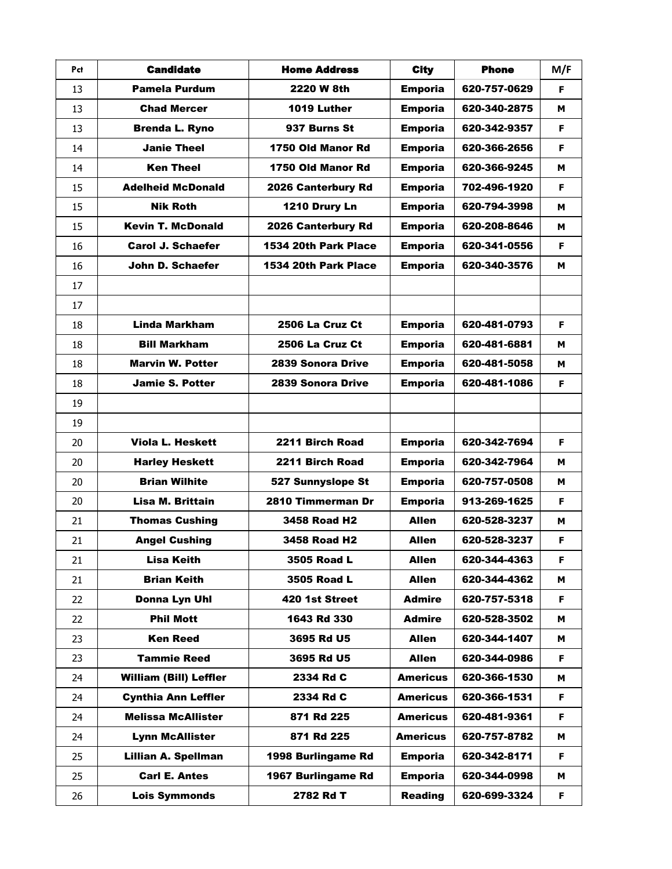| Pct | <b>Candidate</b>              | <b>Home Address</b>  | <b>City</b>     | <b>Phone</b> | M/F |
|-----|-------------------------------|----------------------|-----------------|--------------|-----|
| 13  | <b>Pamela Purdum</b>          | 2220 W 8th           | <b>Emporia</b>  | 620-757-0629 | F.  |
| 13  | <b>Chad Mercer</b>            | 1019 Luther          | <b>Emporia</b>  | 620-340-2875 | м   |
| 13  | <b>Brenda L. Ryno</b>         | 937 Burns St         | <b>Emporia</b>  | 620-342-9357 | F   |
| 14  | <b>Janie Theel</b>            | 1750 Old Manor Rd    | <b>Emporia</b>  | 620-366-2656 | F   |
| 14  | <b>Ken Theel</b>              | 1750 Old Manor Rd    | <b>Emporia</b>  | 620-366-9245 | м   |
| 15  | <b>Adelheid McDonald</b>      | 2026 Canterbury Rd   | <b>Emporia</b>  | 702-496-1920 | F   |
| 15  | <b>Nik Roth</b>               | 1210 Drury Ln        | <b>Emporia</b>  | 620-794-3998 | м   |
| 15  | <b>Kevin T. McDonald</b>      | 2026 Canterbury Rd   | <b>Emporia</b>  | 620-208-8646 | м   |
| 16  | <b>Carol J. Schaefer</b>      | 1534 20th Park Place | <b>Emporia</b>  | 620-341-0556 | F   |
| 16  | John D. Schaefer              | 1534 20th Park Place | <b>Emporia</b>  | 620-340-3576 | м   |
| 17  |                               |                      |                 |              |     |
| 17  |                               |                      |                 |              |     |
| 18  | <b>Linda Markham</b>          | 2506 La Cruz Ct      | <b>Emporia</b>  | 620-481-0793 | F   |
| 18  | <b>Bill Markham</b>           | 2506 La Cruz Ct      | <b>Emporia</b>  | 620-481-6881 | м   |
| 18  | <b>Marvin W. Potter</b>       | 2839 Sonora Drive    | <b>Emporia</b>  | 620-481-5058 | м   |
| 18  | <b>Jamie S. Potter</b>        | 2839 Sonora Drive    | <b>Emporia</b>  | 620-481-1086 | F   |
| 19  |                               |                      |                 |              |     |
| 19  |                               |                      |                 |              |     |
| 20  | <b>Viola L. Heskett</b>       | 2211 Birch Road      | <b>Emporia</b>  | 620-342-7694 | F.  |
| 20  | <b>Harley Heskett</b>         | 2211 Birch Road      | <b>Emporia</b>  | 620-342-7964 | м   |
| 20  | <b>Brian Wilhite</b>          | 527 Sunnyslope St    | <b>Emporia</b>  | 620-757-0508 | м   |
| 20  | Lisa M. Brittain              | 2810 Timmerman Dr    | <b>Emporia</b>  | 913-269-1625 | F   |
| 21  | <b>Thomas Cushing</b>         | <b>3458 Road H2</b>  | <b>Allen</b>    | 620-528-3237 | м   |
| 21  | <b>Angel Cushing</b>          | <b>3458 Road H2</b>  | Allen           | 620-528-3237 | F   |
| 21  | <b>Lisa Keith</b>             | 3505 Road L          | <b>Allen</b>    | 620-344-4363 | F   |
| 21  | <b>Brian Keith</b>            | 3505 Road L          | <b>Allen</b>    | 620-344-4362 | м   |
| 22  | Donna Lyn Uhl                 | 420 1st Street       | <b>Admire</b>   | 620-757-5318 | F.  |
| 22  | <b>Phil Mott</b>              | 1643 Rd 330          | <b>Admire</b>   | 620-528-3502 | м   |
| 23  | <b>Ken Reed</b>               | 3695 Rd U5           | <b>Allen</b>    | 620-344-1407 | м   |
| 23  | <b>Tammie Reed</b>            | 3695 Rd U5           | <b>Allen</b>    | 620-344-0986 | F.  |
| 24  | <b>William (Bill) Leffler</b> | 2334 Rd C            | <b>Americus</b> | 620-366-1530 | м   |
| 24  | <b>Cynthia Ann Leffler</b>    | 2334 Rd C            | <b>Americus</b> | 620-366-1531 | F.  |
| 24  | <b>Melissa McAllister</b>     | 871 Rd 225           | <b>Americus</b> | 620-481-9361 | F   |
| 24  | <b>Lynn McAllister</b>        | 871 Rd 225           | <b>Americus</b> | 620-757-8782 | м   |
| 25  | <b>Lillian A. Spellman</b>    | 1998 Burlingame Rd   | <b>Emporia</b>  | 620-342-8171 | F.  |
| 25  | <b>Carl E. Antes</b>          | 1967 Burlingame Rd   | <b>Emporia</b>  | 620-344-0998 | м   |
| 26  | <b>Lois Symmonds</b>          | 2782 Rd T            | <b>Reading</b>  | 620-699-3324 | F   |